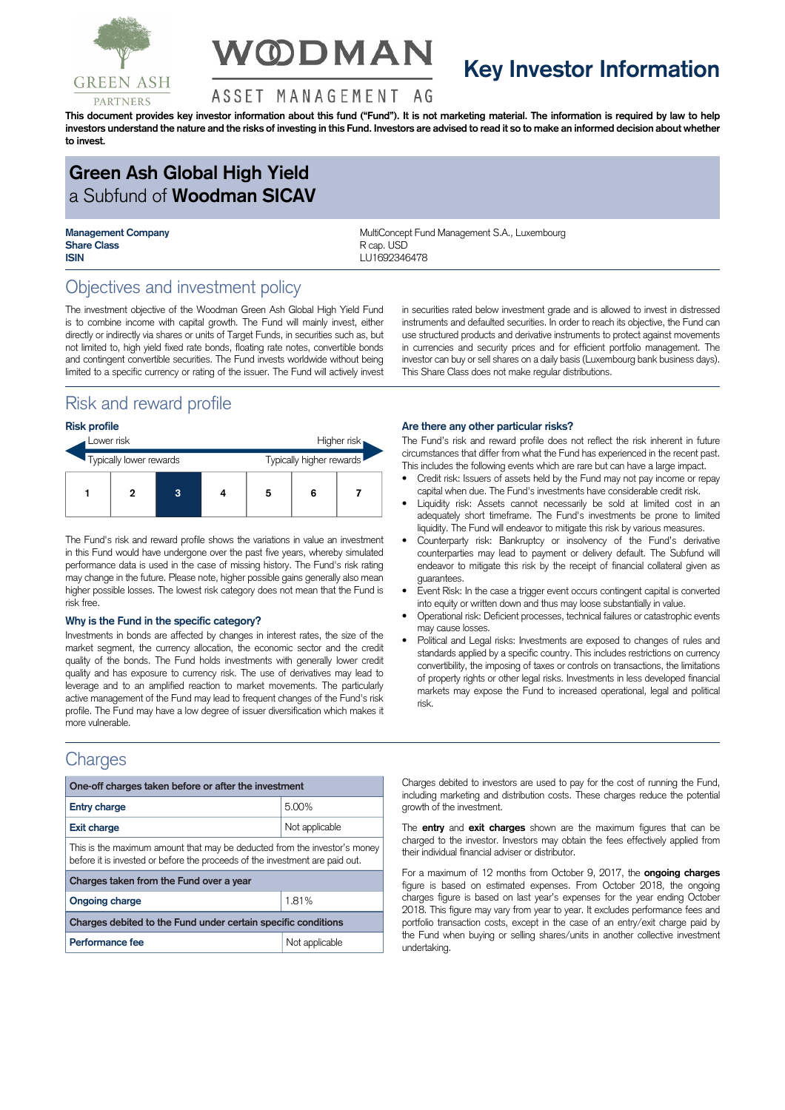

# **V@DMAN**

## **Key Investor Information**

#### ASSET MANAGEMENT AG

This document provides key investor information about this fund ("Fund"). It is not marketing material. The information is required by law to help investors understand the nature and the risks of investing in this Fund. Investors are advised to read it so to make an informed decision about whether **to invest.**

## **Green Ash Global High Yield** a Subfund of **Woodman SICAV**

**Share Class** R cap. USD **ISIN** LU1692346478

**Management Company MultiConcept Fund Management S.A., Luxembourg** 

## Objectives and investment policy

The investment objective of the Woodman Green Ash Global High Yield Fund is to combine income with capital growth. The Fund will mainly invest, either directly or indirectly via shares or units of Target Funds, in securities such as, but not limited to, high yield fixed rate bonds, floating rate notes, convertible bonds and contingent convertible securities. The Fund invests worldwide without being limited to a specific currency or rating of the issuer. The Fund will actively invest

## Risk and reward profile

#### **Risk profile**

| Lower risk              |  |   |                          | Higher risk |   |  |
|-------------------------|--|---|--------------------------|-------------|---|--|
| Typically lower rewards |  |   | Typically higher rewards |             |   |  |
|                         |  | 3 |                          | 5           | 6 |  |

The Fund's risk and reward profile shows the variations in value an investment in this Fund would have undergone over the past five years, whereby simulated performance data is used in the case of missing history. The Fund's risk rating may change in the future. Please note, higher possible gains generally also mean higher possible losses. The lowest risk category does not mean that the Fund is risk free.

#### **Why is the Fund in the specific category?**

Investments in bonds are affected by changes in interest rates, the size of the market segment, the currency allocation, the economic sector and the credit quality of the bonds. The Fund holds investments with generally lower credit quality and has exposure to currency risk. The use of derivatives may lead to leverage and to an amplified reaction to market movements. The particularly active management of the Fund may lead to frequent changes of the Fund's risk profile. The Fund may have a low degree of issuer diversification which makes it more vulnerable.

### **Charges**

| One-off charges taken before or after the investment                                                                                                      |                |  |  |  |  |
|-----------------------------------------------------------------------------------------------------------------------------------------------------------|----------------|--|--|--|--|
| <b>Entry charge</b>                                                                                                                                       | 5.00%          |  |  |  |  |
| <b>Exit charge</b>                                                                                                                                        | Not applicable |  |  |  |  |
| This is the maximum amount that may be deducted from the investor's money<br>before it is invested or before the proceeds of the investment are paid out. |                |  |  |  |  |
| Charges taken from the Fund over a year                                                                                                                   |                |  |  |  |  |
| <b>Ongoing charge</b>                                                                                                                                     | 1.81%          |  |  |  |  |
| Charges debited to the Fund under certain specific conditions                                                                                             |                |  |  |  |  |
| Performance fee                                                                                                                                           | Not applicable |  |  |  |  |

in securities rated below investment grade and is allowed to invest in distressed instruments and defaulted securities. In order to reach its objective, the Fund can use structured products and derivative instruments to protect against movements in currencies and security prices and for efficient portfolio management. The investor can buy or sell shares on a daily basis (Luxembourg bank business days). This Share Class does not make regular distributions.

#### **Are there any other particular risks?**

The Fund's risk and reward profile does not reflect the risk inherent in future circumstances that differ from what the Fund has experienced in the recent past. This includes the following events which are rare but can have a large impact.

- Credit risk: Issuers of assets held by the Fund may not pay income or repay capital when due. The Fund's investments have considerable credit risk.
- Liquidity risk: Assets cannot necessarily be sold at limited cost in an adequately short timeframe. The Fund's investments be prone to limited liquidity. The Fund will endeavor to mitigate this risk by various measures.
- Counterparty risk: Bankruptcy or insolvency of the Fund's derivative counterparties may lead to payment or delivery default. The Subfund will endeavor to mitigate this risk by the receipt of financial collateral given as guarantees.
- Event Risk: In the case a trigger event occurs contingent capital is converted into equity or written down and thus may loose substantially in value.
- Operational risk: Deficient processes, technical failures or catastrophic events may cause losses.
- Political and Legal risks: Investments are exposed to changes of rules and standards applied by a specific country. This includes restrictions on currency convertibility, the imposing of taxes or controls on transactions, the limitations of property rights or other legal risks. Investments in less developed financial markets may expose the Fund to increased operational, legal and political risk.

Charges debited to investors are used to pay for the cost of running the Fund, including marketing and distribution costs. These charges reduce the potential growth of the investment.

The **entry** and **exit charges** shown are the maximum figures that can be charged to the investor. Investors may obtain the fees effectively applied from their individual financial adviser or distributor.

For a maximum of 12 months from October 9, 2017, the **ongoing charges** figure is based on estimated expenses. From October 2018, the ongoing charges figure is based on last year's expenses for the year ending October 2018. This figure may vary from year to year. It excludes performance fees and portfolio transaction costs, except in the case of an entry/exit charge paid by the Fund when buying or selling shares/units in another collective investment undertaking.